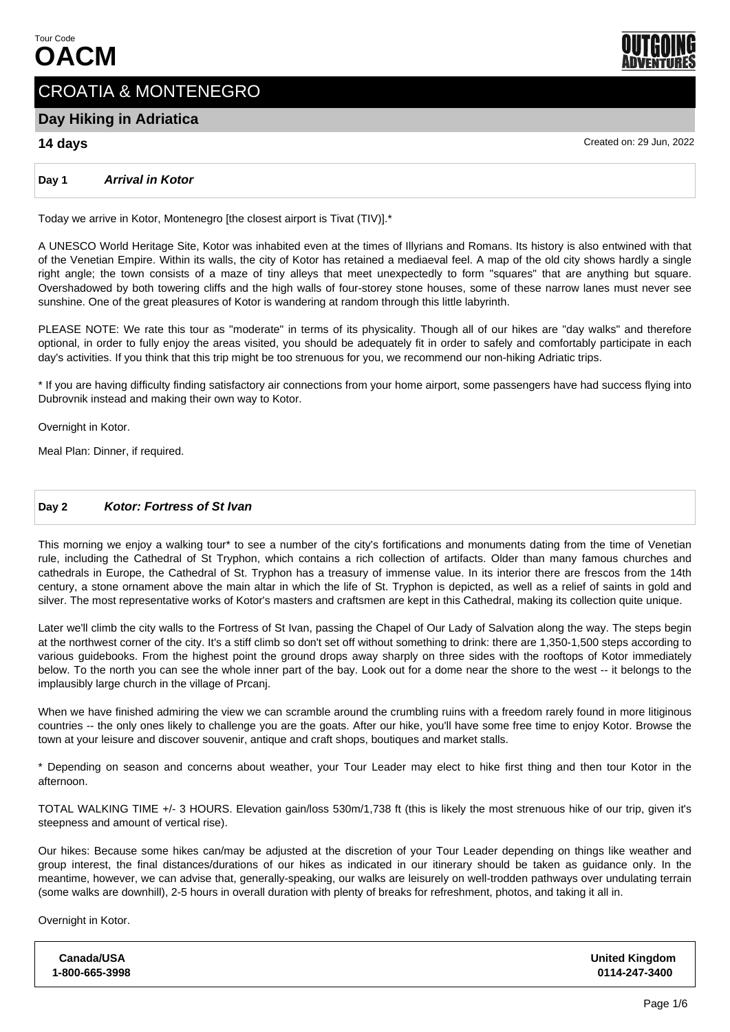

# CROATIA & MONTENEGRO

# **Day Hiking in Adriatica**

# **14 days** Created on: 29 Jun, 2022

**Day 1 Arrival in Kotor**

Today we arrive in Kotor, Montenegro [the closest airport is Tivat (TIV)].\*

A UNESCO World Heritage Site, Kotor was inhabited even at the times of Illyrians and Romans. Its history is also entwined with that of the Venetian Empire. Within its walls, the city of Kotor has retained a mediaeval feel. A map of the old city shows hardly a single right angle; the town consists of a maze of tiny alleys that meet unexpectedly to form "squares" that are anything but square. Overshadowed by both towering cliffs and the high walls of four-storey stone houses, some of these narrow lanes must never see sunshine. One of the great pleasures of Kotor is wandering at random through this little labyrinth.

PLEASE NOTE: We rate this tour as "moderate" in terms of its physicality. Though all of our hikes are "day walks" and therefore optional, in order to fully enjoy the areas visited, you should be adequately fit in order to safely and comfortably participate in each day's activities. If you think that this trip might be too strenuous for you, we recommend our non-hiking Adriatic trips.

\* If you are having difficulty finding satisfactory air connections from your home airport, some passengers have had success flying into Dubrovnik instead and making their own way to Kotor.

Overnight in Kotor.

Meal Plan: Dinner, if required.

# **Day 2 Kotor: Fortress of St Ivan**

This morning we enjoy a walking tour\* to see a number of the city's fortifications and monuments dating from the time of Venetian rule, including the Cathedral of St Tryphon, which contains a rich collection of artifacts. Older than many famous churches and cathedrals in Europe, the Cathedral of St. Tryphon has a treasury of immense value. In its interior there are frescos from the 14th century, a stone ornament above the main altar in which the life of St. Tryphon is depicted, as well as a relief of saints in gold and silver. The most representative works of Kotor's masters and craftsmen are kept in this Cathedral, making its collection quite unique.

Later we'll climb the city walls to the Fortress of St Ivan, passing the Chapel of Our Lady of Salvation along the way. The steps begin at the northwest corner of the city. It's a stiff climb so don't set off without something to drink: there are 1,350-1,500 steps according to various guidebooks. From the highest point the ground drops away sharply on three sides with the rooftops of Kotor immediately below. To the north you can see the whole inner part of the bay. Look out for a dome near the shore to the west -- it belongs to the implausibly large church in the village of Prcanj.

When we have finished admiring the view we can scramble around the crumbling ruins with a freedom rarely found in more litiginous countries -- the only ones likely to challenge you are the goats. After our hike, you'll have some free time to enjoy Kotor. Browse the town at your leisure and discover souvenir, antique and craft shops, boutiques and market stalls.

\* Depending on season and concerns about weather, your Tour Leader may elect to hike first thing and then tour Kotor in the afternoon.

TOTAL WALKING TIME +/- 3 HOURS. Elevation gain/loss 530m/1,738 ft (this is likely the most strenuous hike of our trip, given it's steepness and amount of vertical rise).

Our hikes: Because some hikes can/may be adjusted at the discretion of your Tour Leader depending on things like weather and group interest, the final distances/durations of our hikes as indicated in our itinerary should be taken as guidance only. In the meantime, however, we can advise that, generally-speaking, our walks are leisurely on well-trodden pathways over undulating terrain (some walks are downhill), 2-5 hours in overall duration with plenty of breaks for refreshment, photos, and taking it all in.

Overnight in Kotor.

**Canada/USA 1-800-665-3998 United Kingdom 0114-247-3400**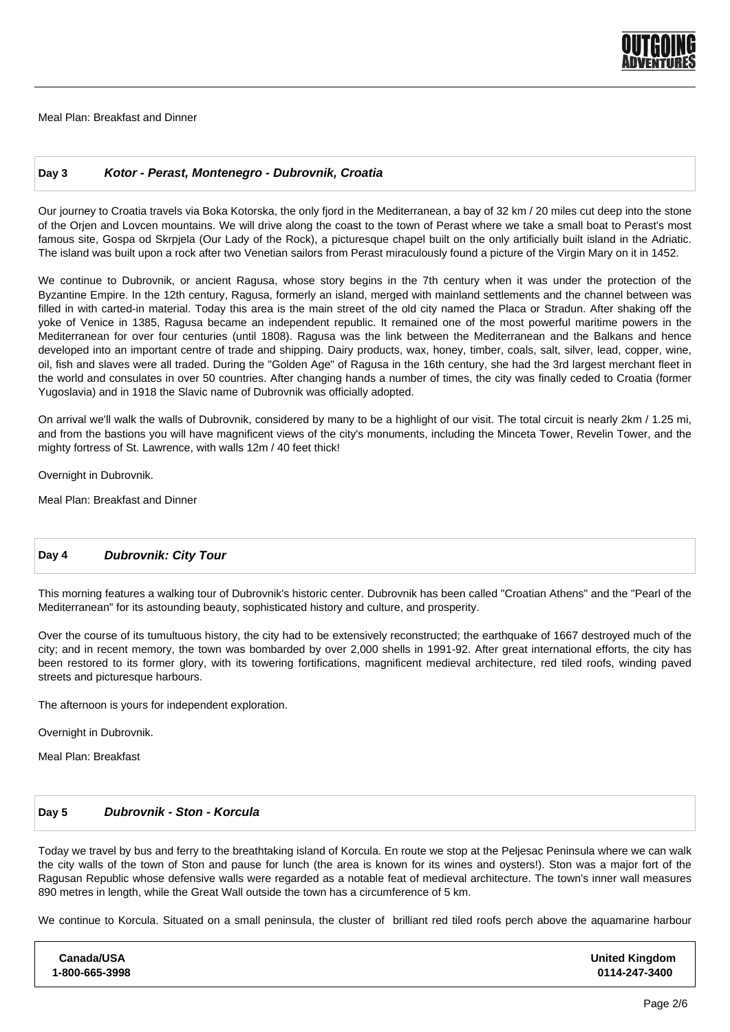

Meal Plan: Breakfast and Dinner

# **Day 3 Kotor - Perast, Montenegro - Dubrovnik, Croatia**

Our journey to Croatia travels via Boka Kotorska, the only fjord in the Mediterranean, a bay of 32 km / 20 miles cut deep into the stone of the Orjen and Lovcen mountains. We will drive along the coast to the town of Perast where we take a small boat to Perast's most famous site, Gospa od Skrpjela (Our Lady of the Rock), a picturesque chapel built on the only artificially built island in the Adriatic. The island was built upon a rock after two Venetian sailors from Perast miraculously found a picture of the Virgin Mary on it in 1452.

We continue to Dubrovnik, or ancient Ragusa, whose story begins in the 7th century when it was under the protection of the Byzantine Empire. In the 12th century, Ragusa, formerly an island, merged with mainland settlements and the channel between was filled in with carted-in material. Today this area is the main street of the old city named the Placa or Stradun. After shaking off the yoke of Venice in 1385, Ragusa became an independent republic. It remained one of the most powerful maritime powers in the Mediterranean for over four centuries (until 1808). Ragusa was the link between the Mediterranean and the Balkans and hence developed into an important centre of trade and shipping. Dairy products, wax, honey, timber, coals, salt, silver, lead, copper, wine, oil, fish and slaves were all traded. During the "Golden Age" of Ragusa in the 16th century, she had the 3rd largest merchant fleet in the world and consulates in over 50 countries. After changing hands a number of times, the city was finally ceded to Croatia (former Yugoslavia) and in 1918 the Slavic name of Dubrovnik was officially adopted.

On arrival we'll walk the walls of Dubrovnik, considered by many to be a highlight of our visit. The total circuit is nearly 2km / 1.25 mi, and from the bastions you will have magnificent views of the city's monuments, including the Minceta Tower, Revelin Tower, and the mighty fortress of St. Lawrence, with walls 12m / 40 feet thick!

Overnight in Dubrovnik.

Meal Plan: Breakfast and Dinner

# **Day 4 Dubrovnik: City Tour**

This morning features a walking tour of Dubrovnik's historic center. Dubrovnik has been called "Croatian Athens" and the "Pearl of the Mediterranean" for its astounding beauty, sophisticated history and culture, and prosperity.

Over the course of its tumultuous history, the city had to be extensively reconstructed; the earthquake of 1667 destroyed much of the city; and in recent memory, the town was bombarded by over 2,000 shells in 1991-92. After great international efforts, the city has been restored to its former glory, with its towering fortifications, magnificent medieval architecture, red tiled roofs, winding paved streets and picturesque harbours.

The afternoon is yours for independent exploration.

Overnight in Dubrovnik.

Meal Plan: Breakfast

# **Day 5 Dubrovnik - Ston - Korcula**

Today we travel by bus and ferry to the breathtaking island of Korcula. En route we stop at the Peljesac Peninsula where we can walk the city walls of the town of Ston and pause for lunch (the area is known for its wines and oysters!). Ston was a major fort of the Ragusan Republic whose defensive walls were regarded as a notable feat of medieval architecture. The town's inner wall measures 890 metres in length, while the Great Wall outside the town has a circumference of 5 km.

We continue to Korcula. Situated on a small peninsula, the cluster of brilliant red tiled roofs perch above the aquamarine harbour

| <b>United Kingdom</b><br>0114-247-3400 |
|----------------------------------------|
|                                        |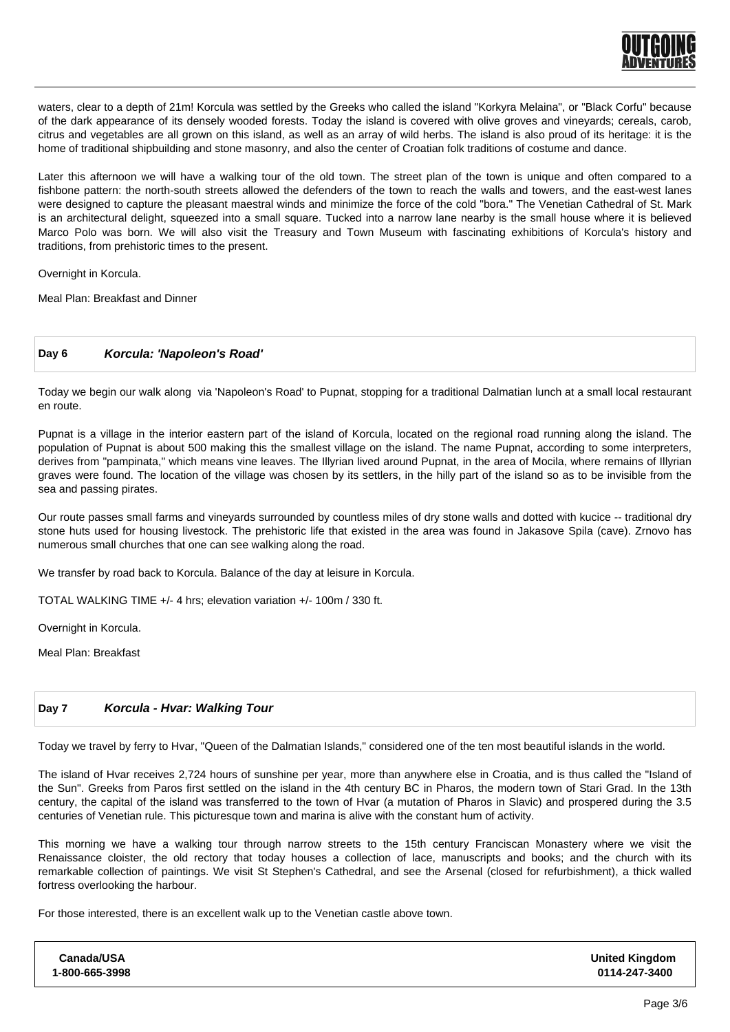

waters, clear to a depth of 21m! Korcula was settled by the Greeks who called the island "Korkyra Melaina", or "Black Corfu" because of the dark appearance of its densely wooded forests. Today the island is covered with olive groves and vineyards; cereals, carob, citrus and vegetables are all grown on this island, as well as an array of wild herbs. The island is also proud of its heritage: it is the home of traditional shipbuilding and stone masonry, and also the center of Croatian folk traditions of costume and dance.

Later this afternoon we will have a walking tour of the old town. The street plan of the town is unique and often compared to a fishbone pattern: the north-south streets allowed the defenders of the town to reach the walls and towers, and the east-west lanes were designed to capture the pleasant maestral winds and minimize the force of the cold "bora." The Venetian Cathedral of St. Mark is an architectural delight, squeezed into a small square. Tucked into a narrow lane nearby is the small house where it is believed Marco Polo was born. We will also visit the Treasury and Town Museum with fascinating exhibitions of Korcula's history and traditions, from prehistoric times to the present.

Overnight in Korcula.

Meal Plan: Breakfast and Dinner

#### **Day 6 Korcula: 'Napoleon's Road'**

Today we begin our walk along via 'Napoleon's Road' to Pupnat, stopping for a traditional Dalmatian lunch at a small local restaurant en route.

Pupnat is a village in the interior eastern part of the island of Korcula, located on the regional road running along the island. The population of Pupnat is about 500 making this the smallest village on the island. The name Pupnat, according to some interpreters, derives from "pampinata," which means vine leaves. The Illyrian lived around Pupnat, in the area of Mocila, where remains of Illyrian graves were found. The location of the village was chosen by its settlers, in the hilly part of the island so as to be invisible from the sea and passing pirates.

Our route passes small farms and vineyards surrounded by countless miles of dry stone walls and dotted with kucice -- traditional dry stone huts used for housing livestock. The prehistoric life that existed in the area was found in Jakasove Spila (cave). Zrnovo has numerous small churches that one can see walking along the road.

We transfer by road back to Korcula. Balance of the day at leisure in Korcula.

TOTAL WALKING TIME +/- 4 hrs; elevation variation +/- 100m / 330 ft.

Overnight in Korcula.

Meal Plan: Breakfast

#### **Day 7 Korcula - Hvar: Walking Tour**

Today we travel by ferry to Hvar, "Queen of the Dalmatian Islands," considered one of the ten most beautiful islands in the world.

The island of Hvar receives 2,724 hours of sunshine per year, more than anywhere else in Croatia, and is thus called the "Island of the Sun". Greeks from Paros first settled on the island in the 4th century BC in Pharos, the modern town of Stari Grad. In the 13th century, the capital of the island was transferred to the town of Hvar (a mutation of Pharos in Slavic) and prospered during the 3.5 centuries of Venetian rule. This picturesque town and marina is alive with the constant hum of activity.

This morning we have a walking tour through narrow streets to the 15th century Franciscan Monastery where we visit the Renaissance cloister, the old rectory that today houses a collection of lace, manuscripts and books; and the church with its remarkable collection of paintings. We visit St Stephen's Cathedral, and see the Arsenal (closed for refurbishment), a thick walled fortress overlooking the harbour.

For those interested, there is an excellent walk up to the Venetian castle above town.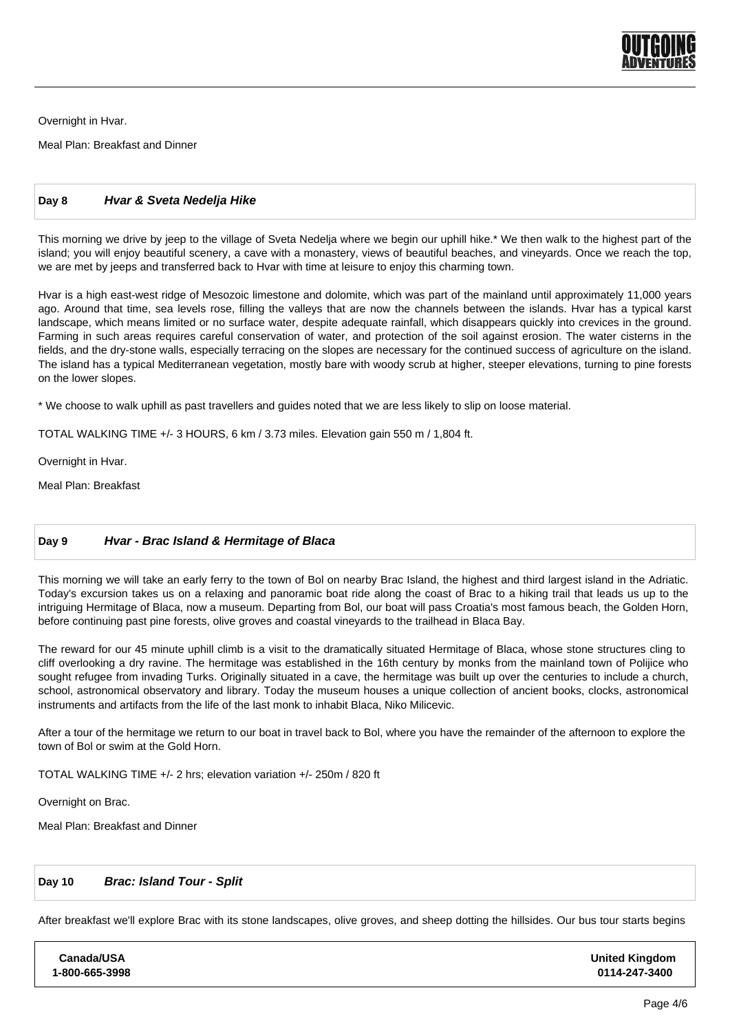

Overnight in Hvar.

Meal Plan: Breakfast and Dinner

# **Day 8 Hvar & Sveta Nedelja Hike**

This morning we drive by jeep to the village of Sveta Nedelja where we begin our uphill hike.\* We then walk to the highest part of the island; you will enjoy beautiful scenery, a cave with a monastery, views of beautiful beaches, and vineyards. Once we reach the top, we are met by jeeps and transferred back to Hvar with time at leisure to enjoy this charming town.

Hvar is a high east-west ridge of Mesozoic limestone and dolomite, which was part of the mainland until approximately 11,000 years ago. Around that time, sea levels rose, filling the valleys that are now the channels between the islands. Hvar has a typical karst landscape, which means limited or no surface water, despite adequate rainfall, which disappears quickly into crevices in the ground. Farming in such areas requires careful conservation of water, and protection of the soil against erosion. The water cisterns in the fields, and the dry-stone walls, especially terracing on the slopes are necessary for the continued success of agriculture on the island. The island has a typical Mediterranean vegetation, mostly bare with woody scrub at higher, steeper elevations, turning to pine forests on the lower slopes.

\* We choose to walk uphill as past travellers and guides noted that we are less likely to slip on loose material.

TOTAL WALKING TIME +/- 3 HOURS, 6 km / 3.73 miles. Elevation gain 550 m / 1,804 ft.

Overnight in Hvar.

Meal Plan: Breakfast

# **Day 9 Hvar - Brac Island & Hermitage of Blaca**

This morning we will take an early ferry to the town of Bol on nearby Brac Island, the highest and third largest island in the Adriatic. Today's excursion takes us on a relaxing and panoramic boat ride along the coast of Brac to a hiking trail that leads us up to the intriguing Hermitage of Blaca, now a museum. Departing from Bol, our boat will pass Croatia's most famous beach, the Golden Horn, before continuing past pine forests, olive groves and coastal vineyards to the trailhead in Blaca Bay.

The reward for our 45 minute uphill climb is a visit to the dramatically situated Hermitage of Blaca, whose stone structures cling to cliff overlooking a dry ravine. The hermitage was established in the 16th century by monks from the mainland town of Polijice who sought refugee from invading Turks. Originally situated in a cave, the hermitage was built up over the centuries to include a church, school, astronomical observatory and library. Today the museum houses a unique collection of ancient books, clocks, astronomical instruments and artifacts from the life of the last monk to inhabit Blaca, Niko Milicevic.

After a tour of the hermitage we return to our boat in travel back to Bol, where you have the remainder of the afternoon to explore the town of Bol or swim at the Gold Horn.

 TOTAL WALKING TIME +/- 2 hrs; elevation variation +/- 250m / 820 ft

 Overnight on Brac.

Meal Plan: Breakfast and Dinner

# **Day 10 Brac: Island Tour - Split**

After breakfast we'll explore Brac with its stone landscapes, olive groves, and sheep dotting the hillsides. Our bus tour starts begins

| Canada/USA     | <b>United Kingdom</b> |
|----------------|-----------------------|
| 1-800-665-3998 | 0114-247-3400         |
|                |                       |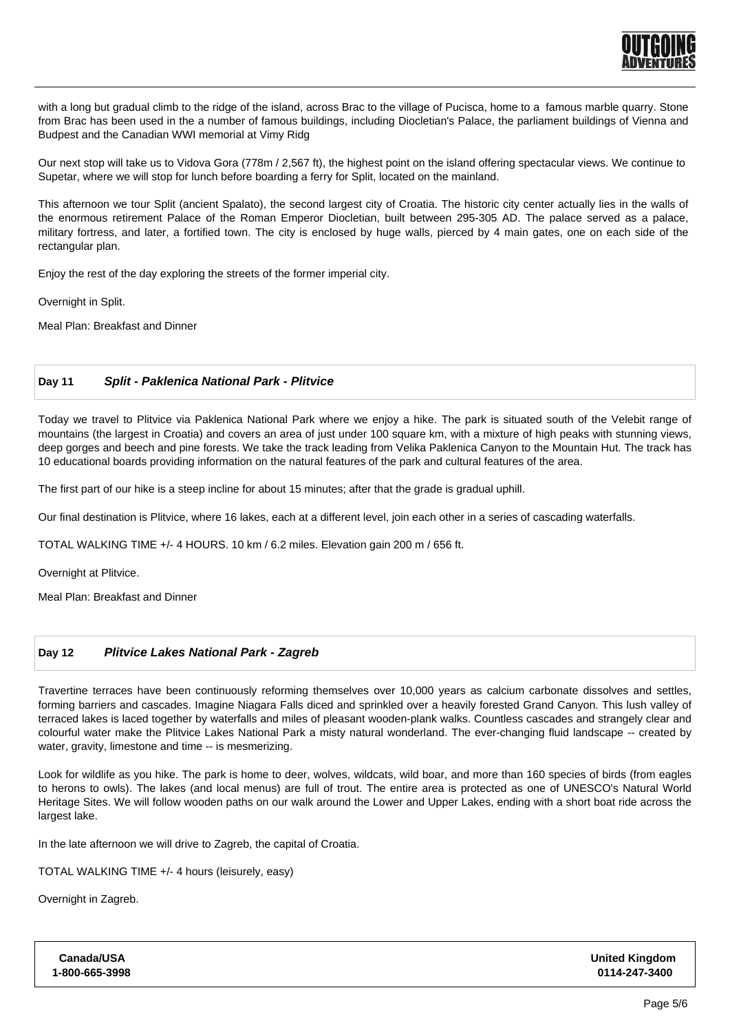

with a long but gradual climb to the ridge of the island, across Brac to the village of Pucisca, home to a famous marble quarry. Stone from Brac has been used in the a number of famous buildings, including Diocletian's Palace, the parliament buildings of Vienna and Budpest and the Canadian WWI memorial at Vimy Ridg

 Our next stop will take us to Vidova Gora (778m / 2,567 ft), the highest point on the island offering spectacular views. We continue to Supetar, where we will stop for lunch before boarding a ferry for Split, located on the mainland.

This afternoon we tour Split (ancient Spalato), the second largest city of Croatia. The historic city center actually lies in the walls of the enormous retirement Palace of the Roman Emperor Diocletian, built between 295-305 AD. The palace served as a palace, military fortress, and later, a fortified town. The city is enclosed by huge walls, pierced by 4 main gates, one on each side of the rectangular plan.

Enjoy the rest of the day exploring the streets of the former imperial city.

Overnight in Split.

Meal Plan: Breakfast and Dinner

# **Day 11 Split - Paklenica National Park - Plitvice**

Today we travel to Plitvice via Paklenica National Park where we enjoy a hike. The park is situated south of the Velebit range of mountains (the largest in Croatia) and covers an area of just under 100 square km, with a mixture of high peaks with stunning views, deep gorges and beech and pine forests. We take the track leading from Velika Paklenica Canyon to the Mountain Hut. The track has 10 educational boards providing information on the natural features of the park and cultural features of the area.

The first part of our hike is a steep incline for about 15 minutes; after that the grade is gradual uphill.

Our final destination is Plitvice, where 16 lakes, each at a different level, join each other in a series of cascading waterfalls.

TOTAL WALKING TIME +/- 4 HOURS. 10 km / 6.2 miles. Elevation gain 200 m / 656 ft.

Overnight at Plitvice.

Meal Plan: Breakfast and Dinner

# **Day 12 Plitvice Lakes National Park - Zagreb**

Travertine terraces have been continuously reforming themselves over 10,000 years as calcium carbonate dissolves and settles, forming barriers and cascades. Imagine Niagara Falls diced and sprinkled over a heavily forested Grand Canyon. This lush valley of terraced lakes is laced together by waterfalls and miles of pleasant wooden-plank walks. Countless cascades and strangely clear and colourful water make the Plitvice Lakes National Park a misty natural wonderland. The ever-changing fluid landscape -- created by water, gravity, limestone and time -- is mesmerizing.

Look for wildlife as you hike. The park is home to deer, wolves, wildcats, wild boar, and more than 160 species of birds (from eagles to herons to owls). The lakes (and local menus) are full of trout. The entire area is protected as one of UNESCO's Natural World Heritage Sites. We will follow wooden paths on our walk around the Lower and Upper Lakes, ending with a short boat ride across the largest lake.

In the late afternoon we will drive to Zagreb, the capital of Croatia.

TOTAL WALKING TIME +/- 4 hours (leisurely, easy)

Overnight in Zagreb.

| Canada/USA     | <b>United Kingdom</b> |
|----------------|-----------------------|
| 1-800-665-3998 | 0114-247-3400         |